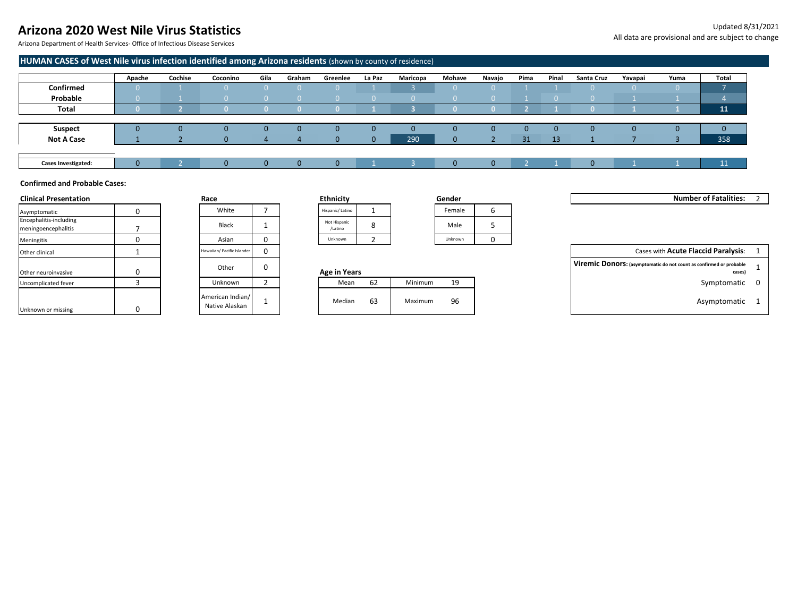# **Arizona 2020 West Nile Virus Statistics**

Arizona Department of Health Services- Office of Infectious Disease Services

### **HUMAN CASES of West Nile virus infection identified among Arizona residents** (shown by county of residence)

|                            | Apache | Cochise | Coconino | Gila | Graham | Greenlee | La Paz | Maricopa | Mohave | Navajo | Pima | Pinal | Santa Cruz | Yavapai | Yuma | Total     |
|----------------------------|--------|---------|----------|------|--------|----------|--------|----------|--------|--------|------|-------|------------|---------|------|-----------|
| Confirmed                  |        |         |          |      |        |          |        |          |        |        |      |       |            |         |      |           |
| Probable                   |        |         |          |      |        |          |        |          |        |        |      |       |            |         |      |           |
| Total                      |        |         |          |      |        |          |        |          |        |        |      |       |            |         |      | 11        |
|                            |        |         |          |      |        |          |        |          |        |        |      |       |            |         |      |           |
| Suspect                    | U      |         |          |      |        |          |        |          |        |        |      |       |            | 0       |      | IJ        |
| <b>Not A Case</b>          |        |         |          |      |        | 0        |        | 290      |        |        | 31   | 13    |            |         |      | 358       |
|                            |        |         |          |      |        |          |        |          |        |        |      |       |            |         |      |           |
| <b>Cases Investigated:</b> | U      |         |          |      |        |          |        |          |        |        |      |       |            |         |      | 11<br>--- |

### **Confirmed and Probable Cases:**

| <b>Clinical Presentation</b>                  |  | Race                               |  | <b>Ethnicity</b>        |    |         | Gender  |  | Number of Fatalities: 2                                                       |  |
|-----------------------------------------------|--|------------------------------------|--|-------------------------|----|---------|---------|--|-------------------------------------------------------------------------------|--|
| Asymptomatic                                  |  | White                              |  | Hispanic/Latino         |    |         | Female  |  |                                                                               |  |
| Encephalitis-including<br>meningoencephalitis |  | Black                              |  | Not Hispanic<br>/Latino |    |         | Male    |  |                                                                               |  |
| Meningitis                                    |  | Asian                              |  | Unknown                 |    |         | Unknown |  |                                                                               |  |
| Other clinical                                |  | Hawaiian/ Pacific Islander         |  |                         |    |         |         |  | Cases with Acute Flaccid Paralysis:                                           |  |
| Other neuroinvasive                           |  | Other                              |  | Age in Years            |    |         |         |  | Viremic Donors: (asymptomatic do not count as confirmed or probable<br>cases) |  |
| Uncomplicated fever                           |  | Unknown                            |  | Mean                    | 62 | Minimum | 19      |  | Symptomatic 0                                                                 |  |
| Unknown or missing                            |  | American Indian/<br>Native Alaskan |  | Median                  | 63 | Maximum | 96      |  | Asymptomatic 1                                                                |  |

| Race                               |   |
|------------------------------------|---|
| White                              | 7 |
| Black                              | 1 |
| Asian                              | 0 |
| Hawaiian/ Pacific Islander         | 0 |
| Other                              | ŋ |
| Unknown                            | 2 |
| American Indian/<br>Native Alaskan | 1 |

| <b>Ethnicity</b>        |   |
|-------------------------|---|
| Hispanic/ Latino        |   |
| Not Hispanic<br>/Latino | 8 |
| Unknown                 |   |

| nicity                |  | Gender  |   |
|-----------------------|--|---------|---|
| anic/ Latino          |  | Female  | o |
| t Hispanic<br>/Latino |  | Male    |   |
| nknown                |  | Unknown |   |

| Uncomplicated fever |  | Unknown                            |  | Mean   | $\sim$<br>62 | Minimum | 19 | Symptomatic  |
|---------------------|--|------------------------------------|--|--------|--------------|---------|----|--------------|
| Unknown or missing  |  | American Indian/<br>Native Alaskan |  | Median | 63           | Maximum | 96 | Asymptomatic |

| Hawaiian/ Pacific Islander |  |  | Cases with Acute Flaccid Paralysis: |  |
|----------------------------|--|--|-------------------------------------|--|
|----------------------------|--|--|-------------------------------------|--|

|              | Viremic Donors: (asymptomatic do not count as confirmed or probable |  |
|--------------|---------------------------------------------------------------------|--|
| Age in Years | cases)                                                              |  |

- 
-